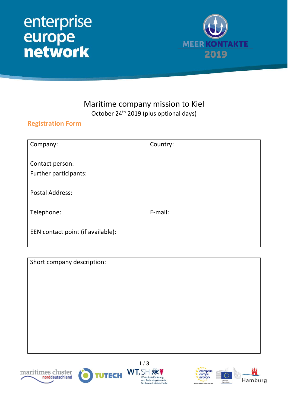## enterprise<br>
europe<br>
network



#### Maritime company mission to Kiel October 24<sup>th</sup> 2019 (plus optional days)

#### **Registration Form**

| Company:                                 | Country: |
|------------------------------------------|----------|
| Contact person:<br>Further participants: |          |
| <b>Postal Address:</b>                   |          |
| Telephone:                               | E-mail:  |
| EEN contact point (if available):        |          |

Short company description:







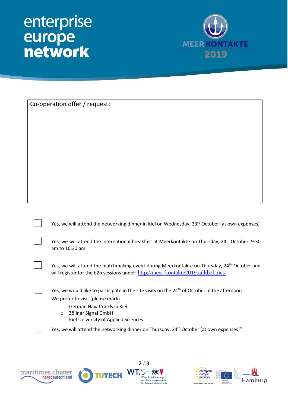# enterprise<br>
europe<br>
network



| Co-operation offer / request:                                                                                                                                                                                                                                                    |
|----------------------------------------------------------------------------------------------------------------------------------------------------------------------------------------------------------------------------------------------------------------------------------|
|                                                                                                                                                                                                                                                                                  |
|                                                                                                                                                                                                                                                                                  |
|                                                                                                                                                                                                                                                                                  |
|                                                                                                                                                                                                                                                                                  |
|                                                                                                                                                                                                                                                                                  |
|                                                                                                                                                                                                                                                                                  |
|                                                                                                                                                                                                                                                                                  |
|                                                                                                                                                                                                                                                                                  |
|                                                                                                                                                                                                                                                                                  |
| Yes, we will attend the networking dinner in Kiel on Wednesday, 23 <sup>rd</sup> October (at own expenses)                                                                                                                                                                       |
| Yes, we will attend the international breakfast at Meerkontakte on Thursday, 24 <sup>th</sup> October, 9:30<br>am to 10:30 am                                                                                                                                                    |
| Yes, we will attend the matchmaking event during Meerkontakte on Thursday, 24 <sup>th</sup> October and<br>will register for the b2b sessions under: http://meer-kontakte2019.talkb2b.net/                                                                                       |
| Yes, we would like to participate in the site visits on the 24 <sup>th</sup> of October in the afternoon                                                                                                                                                                         |
| We prefer to visit (please mark)                                                                                                                                                                                                                                                 |
| German Naval Yards in Kiel<br>$\circ$<br>Zöllner Signal GmbH<br>$\circ$                                                                                                                                                                                                          |
| Kiel University of Applied Sciences<br>$\circ$                                                                                                                                                                                                                                   |
| Yes, we will attend the networking dinner on Thursday, 24 <sup>th</sup> October (at own expenses) <sup>th</sup>                                                                                                                                                                  |
|                                                                                                                                                                                                                                                                                  |
| 2/3                                                                                                                                                                                                                                                                              |
| $\mathbf{r}$<br>WT.SH<br>enterprise<br>maritimes cluster<br><b>TUTECH</b><br>europe<br>norddeutschland<br>network<br>Wirtschaftsförderung<br>Hamburg<br>und Technologietransfer<br>European<br>***<br>Commission<br>Schleswig-Holstein GmbH<br>lusiness Support on Your Doorstep |